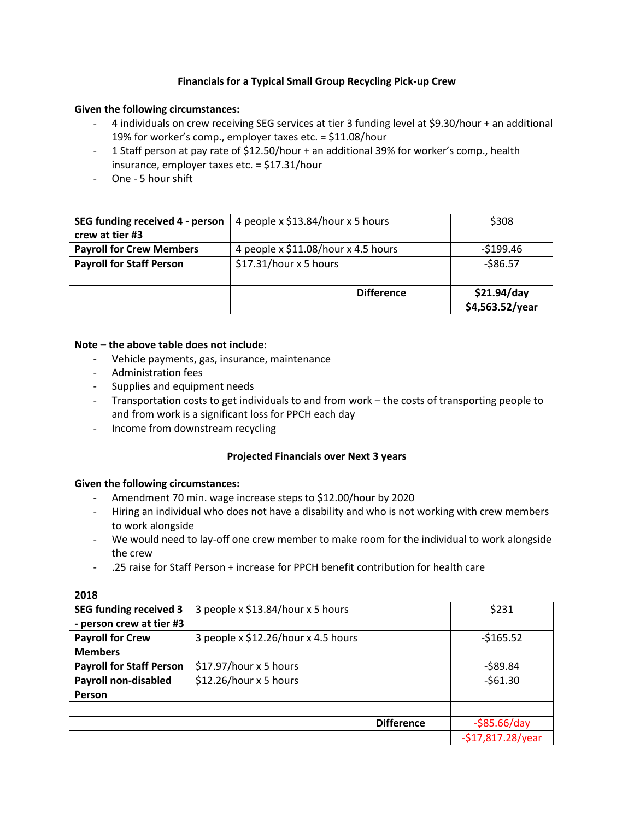# **Financials for a Typical Small Group Recycling Pick-up Crew**

### **Given the following circumstances:**

- 4 individuals on crew receiving SEG services at tier 3 funding level at \$9.30/hour + an additional 19% for worker's comp., employer taxes etc. = \$11.08/hour
- 1 Staff person at pay rate of \$12.50/hour + an additional 39% for worker's comp., health insurance, employer taxes etc. = \$17.31/hour
- One 5 hour shift

| SEG funding received 4 - person | 4 people x \$13.84/hour x 5 hours   | \$308           |
|---------------------------------|-------------------------------------|-----------------|
| crew at tier #3                 |                                     |                 |
| <b>Payroll for Crew Members</b> | 4 people x \$11.08/hour x 4.5 hours | $-5199.46$      |
| <b>Payroll for Staff Person</b> | $$17.31/hour \times 5 hours$        | $-586.57$       |
|                                 |                                     |                 |
|                                 | <b>Difference</b>                   | \$21.94/day     |
|                                 |                                     | \$4,563.52/year |

### **Note – the above table does not include:**

- Vehicle payments, gas, insurance, maintenance
- Administration fees
- Supplies and equipment needs
- Transportation costs to get individuals to and from work the costs of transporting people to and from work is a significant loss for PPCH each day
- Income from downstream recycling

#### **Projected Financials over Next 3 years**

#### **Given the following circumstances:**

- Amendment 70 min. wage increase steps to \$12.00/hour by 2020
- Hiring an individual who does not have a disability and who is not working with crew members to work alongside
- We would need to lay-off one crew member to make room for the individual to work alongside the crew
- .25 raise for Staff Person + increase for PPCH benefit contribution for health care

| ×<br>M.<br>v<br>v |
|-------------------|
|-------------------|

| <b>SEG funding received 3</b>   | 3 people x \$13.84/hour x 5 hours   | \$231              |
|---------------------------------|-------------------------------------|--------------------|
| - person crew at tier #3        |                                     |                    |
| <b>Payroll for Crew</b>         | 3 people x \$12.26/hour x 4.5 hours | $-5165.52$         |
| <b>Members</b>                  |                                     |                    |
| <b>Payroll for Staff Person</b> | \$17.97/hour x 5 hours              | $-589.84$          |
| Payroll non-disabled            | \$12.26/hour x 5 hours              | $-561.30$          |
| Person                          |                                     |                    |
|                                 |                                     |                    |
|                                 | <b>Difference</b>                   | $-585.66/day$      |
|                                 |                                     | $-$17,817.28/year$ |